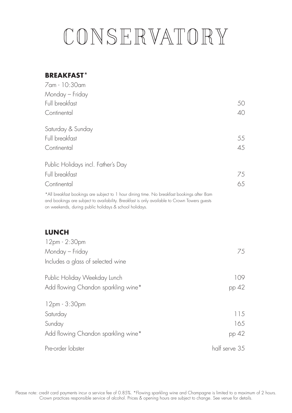# CONSERVATORY

#### **BREAKFAST\***

| Monday — Friday                                                                                                                                                                                                                                      |               |
|------------------------------------------------------------------------------------------------------------------------------------------------------------------------------------------------------------------------------------------------------|---------------|
| Full breakfast                                                                                                                                                                                                                                       | 50            |
| Continental                                                                                                                                                                                                                                          | 40            |
| Saturday & Sunday                                                                                                                                                                                                                                    |               |
| Full breakfast                                                                                                                                                                                                                                       | 55            |
| Continental                                                                                                                                                                                                                                          | 45            |
| Public Holidays incl. Father's Day                                                                                                                                                                                                                   |               |
| Full breakfast                                                                                                                                                                                                                                       | 75            |
| Continental                                                                                                                                                                                                                                          | 65            |
| *All breakfast bookings are subject to 1 hour dining time. No breakfast bookings after 8am<br>and bookings are subject to availability. Breakfast is only available to Crown Towers guests<br>on weekends, during public holidays & school holidays. |               |
| <b>LUNCH</b><br>12pm - 2:30pm                                                                                                                                                                                                                        |               |
| Monday — Friday                                                                                                                                                                                                                                      | 75            |
| Includes a glass of selected wine                                                                                                                                                                                                                    |               |
| Public Holiday Weekday Lunch                                                                                                                                                                                                                         | 109           |
| Add flowing Chandon sparkling wine*                                                                                                                                                                                                                  | pp 42         |
| 12pm - 3:30pm                                                                                                                                                                                                                                        |               |
| Saturday                                                                                                                                                                                                                                             | 115           |
| Sunday                                                                                                                                                                                                                                               | 165           |
| Add flowing Chandon sparkling wine*                                                                                                                                                                                                                  | pp 42         |
| Pre-order lobster                                                                                                                                                                                                                                    | half serve 35 |